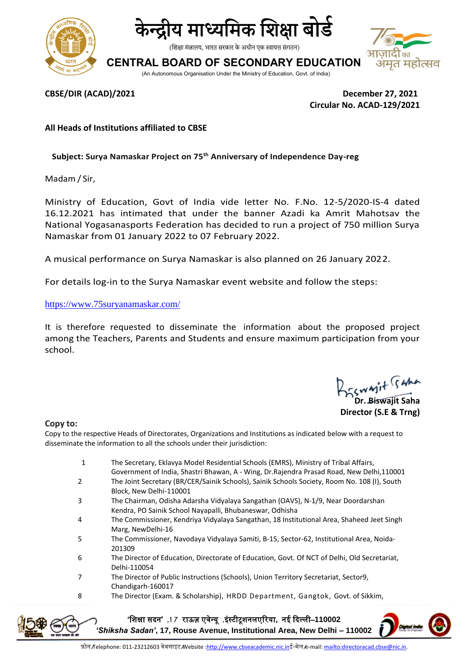



(शिक्षा मंत्रालय, भारत सरकार के अधीन एक स्वायत्त संगठन)

**CENTRAL BOARD OF SECONDARY EDUCATION**

(An Autonomous Organisation Under the Ministry of Education, Govt. of India)



**CBSE/DIR (ACAD)/2021 December 27, 2021 Circular No. ACAD-129/2021**

**All Heads of Institutions affiliated to CBSE**

**Subject: Surya Namaskar Project on 75th Anniversary of Independence Day-reg**

Madam / Sir,

Ministry of Education, Govt of India vide letter No. F.No. 12-5/2020-IS-4 dated 16.12.2021 has intimated that under the banner Azadi ka Amrit Mahotsav the National Yogasanasports Federation has decided to run a project of 750 million Surya Namaskar from 01 January 2022 to 07 February 2022.

A musical performance on Surya Namaskar is also planned on 26 January 2022.

For details log-in to the Surya Namaskar event website and follow the steps:

<https://www.75suryanamaskar.com/>

It is therefore requested to disseminate the information about the proposed project among the Teachers, Parents and Students and ensure maximum participation from your school.

wayit suno

**Dr. Biswajit Saha Director (S.E & Trng)**

## **Copy to:**

Copy to the respective Heads of Directorates, Organizations and Institutions as indicated below with a request to disseminate the information to all the schools under their jurisdiction:

- 1 The Secretary, Eklavya Model Residential Schools (EMRS), Ministry of Tribal Affairs, Government of India, Shastri Bhawan, A - Wing, Dr.Rajendra Prasad Road, New [Delhi,110001](http://tribal.gov.in/)
- 2 The Joint Secretary (BR/CER/Sainik Schools), Sainik Schools Society, Room No. 108 (I), South Block, New Delhi-110001
- 3 The Chairman, Odisha Adarsha Vidyalaya Sangathan (OAVS), N-1/9, Near Doordarshan Kendra, PO Sainik School Nayapalli, Bhubaneswar, Odhisha
- 4 The Commissioner, Kendriya Vidyalaya Sangathan, 18 Institutional Area, Shaheed Jeet Singh Marg, NewDelhi-16
- 5 The Commissioner, Navodaya Vidyalaya Samiti, B-15, Sector-62, Institutional Area, Noida-201309
- 6 The Director of Education, Directorate of Education, Govt. Of NCT of Delhi, Old Secretariat, Delhi-110054
- 7 The Director of Public Instructions (Schools), Union Territory Secretariat, Sector9, Chandigarh-160017
- 8 The Director (Exam. & Scholarship), HRDD Department, Gangtok, Govt. of Sikkim,